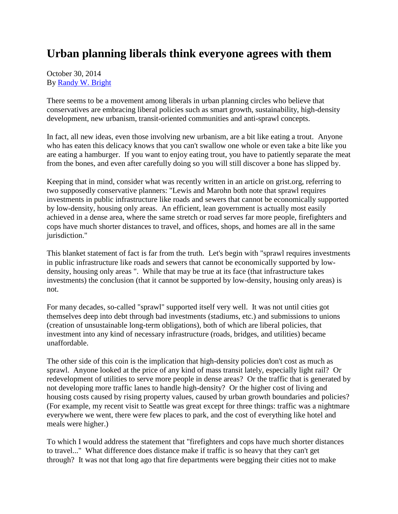## **Urban planning liberals think everyone agrees with them**

## October 30, 2014 By [Randy W. Bright](http://www.tulsabeacon.com/author/slug-o6yd1v)

There seems to be a movement among liberals in urban planning circles who believe that conservatives are embracing liberal policies such as smart growth, sustainability, high-density development, new urbanism, transit-oriented communities and anti-sprawl concepts.

In fact, all new ideas, even those involving new urbanism, are a bit like eating a trout. Anyone who has eaten this delicacy knows that you can't swallow one whole or even take a bite like you are eating a hamburger. If you want to enjoy eating trout, you have to patiently separate the meat from the bones, and even after carefully doing so you will still discover a bone has slipped by.

Keeping that in mind, consider what was recently written in an article on grist.org, referring to two supposedly conservative planners: "Lewis and Marohn both note that sprawl requires investments in public infrastructure like roads and sewers that cannot be economically supported by low-density, housing only areas. An efficient, lean government is actually most easily achieved in a dense area, where the same stretch or road serves far more people, firefighters and cops have much shorter distances to travel, and offices, shops, and homes are all in the same jurisdiction."

This blanket statement of fact is far from the truth. Let's begin with "sprawl requires investments in public infrastructure like roads and sewers that cannot be economically supported by lowdensity, housing only areas ". While that may be true at its face (that infrastructure takes investments) the conclusion (that it cannot be supported by low-density, housing only areas) is not.

For many decades, so-called "sprawl" supported itself very well. It was not until cities got themselves deep into debt through bad investments (stadiums, etc.) and submissions to unions (creation of unsustainable long-term obligations), both of which are liberal policies, that investment into any kind of necessary infrastructure (roads, bridges, and utilities) became unaffordable.

The other side of this coin is the implication that high-density policies don't cost as much as sprawl. Anyone looked at the price of any kind of mass transit lately, especially light rail? Or redevelopment of utilities to serve more people in dense areas? Or the traffic that is generated by not developing more traffic lanes to handle high-density? Or the higher cost of living and housing costs caused by rising property values, caused by urban growth boundaries and policies? (For example, my recent visit to Seattle was great except for three things: traffic was a nightmare everywhere we went, there were few places to park, and the cost of everything like hotel and meals were higher.)

To which I would address the statement that "firefighters and cops have much shorter distances to travel..." What difference does distance make if traffic is so heavy that they can't get through? It was not that long ago that fire departments were begging their cities not to make